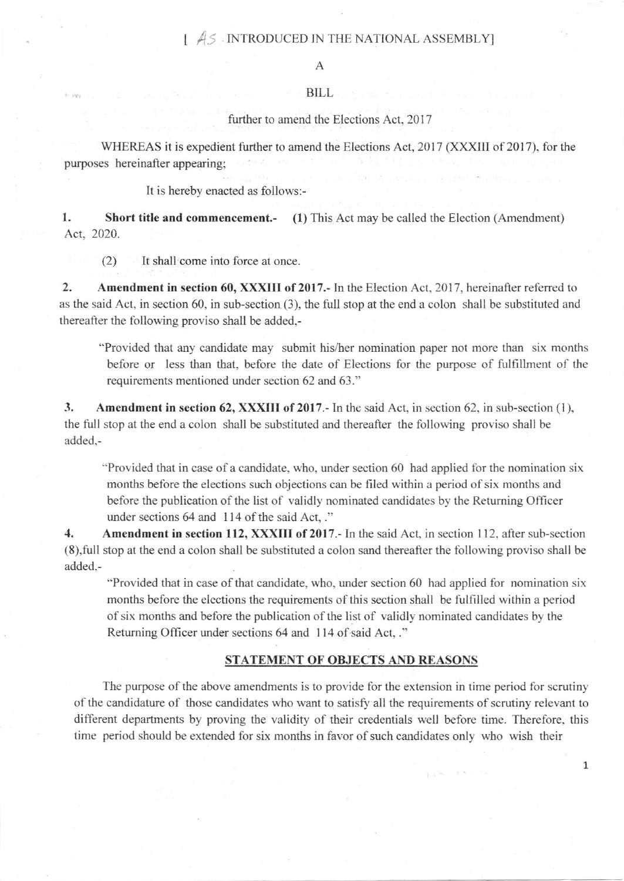## 1  $\angle$  AS INTRODUCED IN THE NATIONAL ASSEMBLY]

## BILL

further to amend the Elections Act, 2017

WHEREAS it is expedient further to amend the Elections Act,  $2017$  (XXXIII of 2017), for the purposes hereinafter appearing:

It is hereby enacted as follows:-

1. Short title and commencement.- (1) This Act may be called the Election (Amendment) Act, 2020.

(2) It shall come into force at once.

2. Amendment in section 60, XXXIII of 2017.- In the Election Act, 2017, hereinafter referred to as the said Act, in section 60, in sub-section (3), the full stop at the end a colon shall be substituted and thereafter the following proviso shall be added,-

"Provided that any candidate may submit his/her nomination paper not more than six months before or less than that, before the date of Elections for the purpose of ftilfillment of lhe requirements mentioned under section 62 and 63."

3. Amendment in section 62, XXXIII of 2017. In the said Act, in section 62, in sub-section (1), the full stop at the end a colon shall be substituted and thereafter the following proviso shall be added.-

"Provided that in case of a candidate, who, under section  $60$  had applied for the nomination six months before the elections such objections can be filed within a period of six months and before the publication of the list of validly nominated candidates by the Returning Officer under sections 64 and 114 of the said Act,."

4. Amendment in section 112, XXXIII of 2017.- In the said Act, in section 112, after sub-section (8),fu11 stop at the end a colon shall be substituted a colon sand thereafter the following proviso shall be added.-

"Provided that in case of that candidate, who, under section 60 had applied for nomination six months before the elections the requirements of this section shall be fulfilled within a period of six months and before the publication of the list of validly nominated candidates by the Returning Officer under sections 64 and 114 of said Act, ."

## STATEMENT OF OBJECTS AND REASONS

 $1.3 - 1.3 - 1.3$ 

The purpose of the above amendments is to provide for the extension in time period for scrutiny of the candidature of those candidates who want to satisfy all the requirements of scrutiny relevant to different departments by proving the validity of their credentials well before time. Therefore, this time period should be extended for six months in favor of such candidates only who wish their

1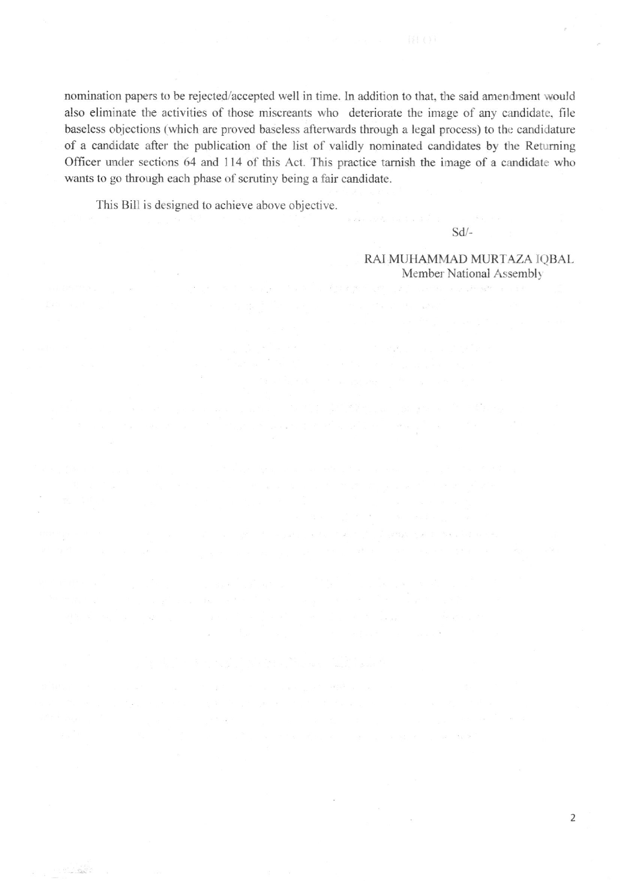nomination papers to be rejected/accepted well in time. In addition to that, the said amendment would also eliminate the activities of those miscreants who deteriorate the image of any candidate. file baseless objections (which are proved baseless afterwards through a legal process) to the candidature of a candidate after the publication of the list of validly nominated candidates by the Returning Officer under sections 64 and 114 of this Act. This practice tarnish the image of a candidate who wants to go through each phase of scrutiny being a fair candidate.

This Bill is designed to achieve above objective.

 $\bar{u}$ 

 $\mathcal{R}^{\mathcal{M}}(\mathcal{M})=\mathcal{M}^{\mathcal{M}}(\mathcal{M})$ 

 $\label{eq:2.1} \begin{array}{ccccc} \mathcal{L}_{\mathcal{F}} & \mathcal{L}_{\mathcal{F}} & \mathcal{L}_{\mathcal{F}} & \mathcal{L}_{\mathcal{F}} \end{array} \begin{array}{ll} \mathcal{L}_{\mathcal{F}} & \mathcal{L}_{\mathcal{F}} & \mathcal{L}_{\mathcal{F}} \end{array}$ 

sd/-

RAI MUHAMMAD MURTAZA IOBAL Member National Assembly

 $\mathbb{E}_{\mathbf{y}} \left[ \mathcal{X} \left( \mathbf{y} \right) \right] = \mathbb{E}_{\mathbf{y}} \left[ \mathcal{X} \right] = \mathbb{E}_{\mathbf{y}} \left[ \mathcal{X} \right] = \mathbb{E}_{\mathbf{y}} \left[ \mathcal{X} \left( \mathbf{y} \right) \right] = \mathbb{E}_{\mathbf{y}} \left[ \mathcal{X} \left( \mathbf{y} \right) \right] = \mathbb{E}_{\mathbf{y}} \left[ \mathcal{X} \left( \mathbf{y} \right) \right] = \mathbb{E}_{\mathbf{y}} \left[ \mathcal{X} \$ 

 $\label{eq:2.1} \frac{1}{N} \frac{\partial^2 V_{\mu\nu}^{\mu\nu}}{\partial \rho^{\mu\nu}} = \frac{1}{N} \frac{1}{N} \frac{\partial^2 V_{\mu\nu}}{\partial \rho^{\mu\nu}} = \frac{1}{N} \frac{1}{N} \frac{1}{N} \frac{\partial^2 V_{\mu\nu}}{\partial \rho^{\mu\nu}} = \frac{1}{N} \frac{1}{N} \frac{1}{N} \frac{\partial^2 V_{\mu\nu}}{\partial \rho^{\mu\nu}} = \frac{1}{N} \frac{1}{N} \frac{1}{N} \frac{\partial^2 V_{\mu\nu}}{\partial \rho^{\mu\nu}} = \$ 

 $\sim 2$  ,  $\sim 2$  ,  $\sim 10$  ,  $\sim 10$  ,  $\sim 10$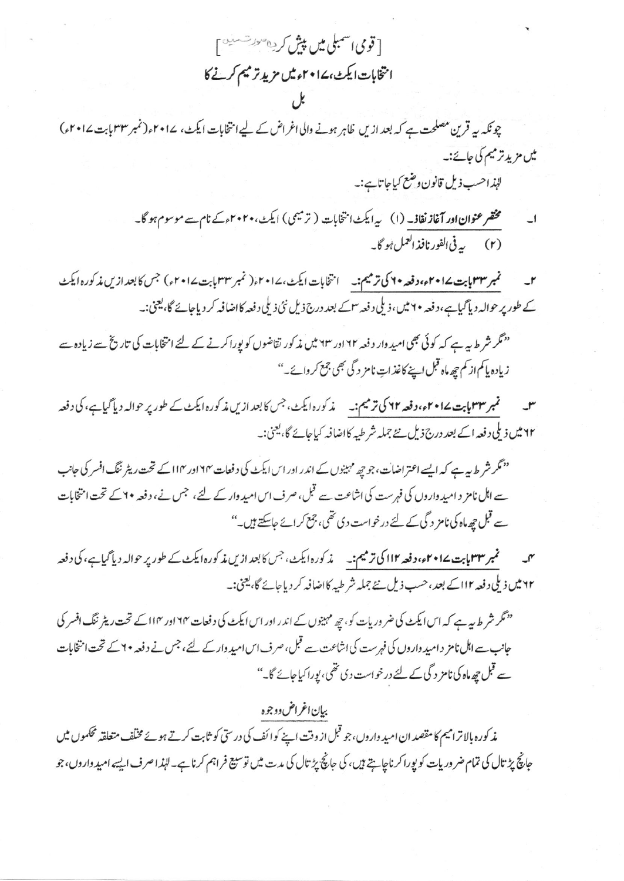[ قومی اسمبلی میں پیش کردہ *سونس*ے آ انتخابات ایکٹ، ۱۷۰۲ء میں مزید ترمیم کرنے کا

چونکہ ہے قرین مصلحت ہے کہ بعد ازیں ظاہر ہونے والی اغراض کے لیے انتخابات ایکٹ، ۲۰۱۷ء(نمبر ۳۳ بابت ۱۷۰۲ء) میں مزید ترمیم کی جائے:۔ لہٰذاحسب ذیل قانون وضع کیاجاتاہے:۔

> مختمر عنوان اور آغاز نفاذ۔ (۱) پیرایکٹ انتخابات (ترمیمی) ایکٹ،۲۰۲۰ءکے نام سے موسوم ہو گا۔ (۲) په في الفور نافذ العمل <sup>ب</sup>و گا په

نمبر ۳۳ مایت ۱۵+۲م، دفعه ۲۰ کی ترمیم:- ۱ انتخابات ایکٹ،۱۷۰۲ء( نمبر ۳۳ مایت ۱۷+۲ء) جس کا بعد ازیں مذکورہ ایکٹ کے طور پر حوالہ دیا گیاہے،دفعہ ۲۰ میں،ذیلی دفعہ <sup>س</sup>اکے بعد درج ذیل نئی ذیلی دفعہ کااضافہ کر دیاجائے گا، یعنی:۔

"نگر شرط سے ہے کہ کوئی بھی امید وار دفعہ ٢٢ اور ٢٣ میں مذکور تقاضوں کو پوراکرنے کے لئے انتخابات کی تاریخ سے زیادہ سے زياده ياكم از كم چھ ماہ قبل اپنے كاغذ اتِ نامز د گی بھی جمع كر وائے۔''

سل مسلم میں سوسوا ہا ہے۔ اوسی اس کا ترمیم:۔ مذکورہ ایکٹ، جس کا بعد ازیں مذکورہ ایکٹ کے طور پر حوالہ دیا گیاہے، کی دفعہ ۲۲ میں ذیلی د فعہ اسے بعد درج ذیل ہے جملہ شرطیہ کااضافہ کیاجائے گا، یعنی:۔

<sup>دد</sup> مگر شر ط پیہ ہے کہ ایسے اعتراضات، جو چھ مہینوں کے اندر اور اس ایکٹ کی دفعات ۱۲۴ اور ۱۱۴ کے تحت ریٹر ننگ افسر کی جانب سے اہل نامز د امید واروں کی فہرست کی اشاعت سے قبل، صرف اس امید وار کے لئے، جس نے، دفعہ ۲۰ کے تحت امتخابات سے قبل چھ ماہ کی نامز دگی کے لئے درخواست دی تھی، جمع کر ائے جاسکتے ہیں۔"

میں سسمجم**بر ۳۳ بابت ۱۷۰۲ء، دفعہ ۱۱۲ کی ترمیم:۔** یہ کورہ ایکٹ، جس کا بعد ازیں مذکورہ ایکٹ کے طور پر حوالہ دیا گیاہے، کی دفعہ ۲۲ میں ذیلی دفعہ ۱۱۲ کے بعد ، حسب ذیل نئے جملہ شر طیبہ کااضافہ کر دیاجائے گا، یعنی:۔

"نگر شرط میہ ہے کہ اس ایکٹ کی ضر دریات کو، چھ مہینوں کے اندر اور اس ایکٹ کی دفعات ۱۲۴ اور ۱۱۴ کے تحت ریٹر ننگ افسر کی جانب سے اہل نامز دامید داروں کی فہرست کی اشاعت سے قبل، صرف اس امید وارکے لئے، جس نے دفعہ ۲۰ کے تحت امتخابات سے قبل چھ ماہ کی نامز د گی کے لئے درخواست دی تھی، پوراکیاجائے گا۔''

بيان اغراض دوجوه مذ کورہ ہالاترامیم کامقصد ان امید واروں، جو قبل از وقت اپنے کوائف کی درستی کو ثابت کرتے ہوئے مختلف متعلقہ محکموں میں جانچ پڑ تال کی تمام ضر وریات کو پورا کرناچاہتے ہیں، کی جانچ پڑ تال کی مدت میں توسیع فراہم کرنا ہے۔انہذ اصرف ایسے امید واروں، جو